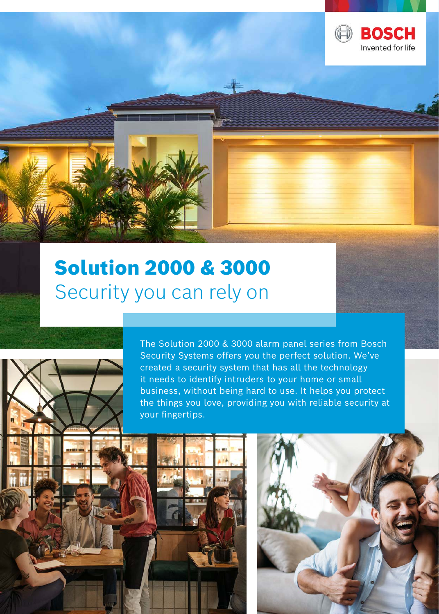





**BOSCH** Invented for life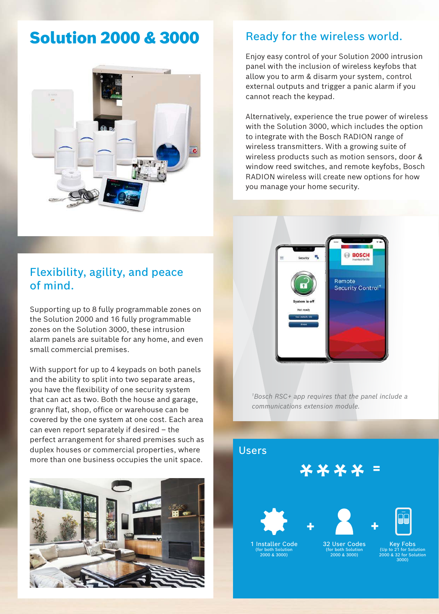# Solution 2000 & 3000



## Ready for the wireless world.

Enjoy easy control of your Solution 2000 intrusion panel with the inclusion of wireless keyfobs that allow you to arm & disarm your system, control external outputs and trigger a panic alarm if you cannot reach the keypad.

Alternatively, experience the true power of wireless with the Solution 3000, which includes the option to integrate with the Bosch RADION range of wireless transmitters. With a growing suite of wireless products such as motion sensors, door & window reed switches, and remote keyfobs, Bosch RADION wireless will create new options for how you manage your home security.



Supporting up to 8 fully programmable zones on the Solution 2000 and 16 fully programmable zones on the Solution 3000, these intrusion alarm panels are suitable for any home, and even small commercial premises.

With support for up to 4 keypads on both panels and the ability to split into two separate areas, you have the flexibility of one security system that can act as two. Both the house and garage, granny flat, shop, office or warehouse can be covered by the one system at one cost. Each area can even report separately if desired – the perfect arrangement for shared premises such as duplex houses or commercial properties, where more than one business occupies the unit space.





*<sup>1</sup>Bosch RSC+ app requires that the panel include a communications extension module.*

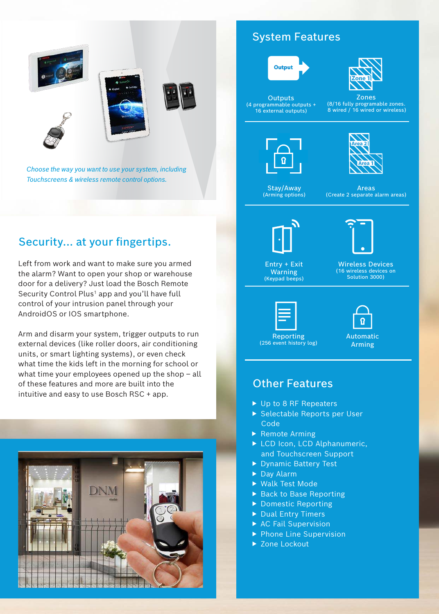





*Choose the way you want to use your system, including Touchscreens & wireless remote control options.*

# Security... at your fingertips.

Left from work and want to make sure you armed the alarm? Want to open your shop or warehouse door for a delivery? Just load the Bosch Remote Security Control Plus<sup>1</sup> app and you'll have full control of your intrusion panel through your AndroidOS or IOS smartphone.

Arm and disarm your system, trigger outputs to run external devices (like roller doors, air conditioning units, or smart lighting systems), or even check what time the kids left in the morning for school or what time your employees opened up the shop – all of these features and more are built into the intuitive and easy to use Bosch RSC + app.



## System Features



**Outputs** (4 programmable outputs + 16 external outputs)



Zones

(8/16 fully programable zones. 8 wired / 16 wired or wireless)





Stay/Away (Arming options)

Areas (Create 2 separate alarm areas)



Entry + Exit Warning (Keypad beeps)

Wireless Devices (16 wireless devices on Solution 3000)





Automatic Arming

### Other Features

- $\triangleright$  Up to 8 RF Repeaters
- ▶ Selectable Reports per User Code
- $\blacktriangleright$  Remote Arming
- ▶ LCD Icon, LCD Alphanumeric, and Touchscreen Support
- ▶ Dynamic Battery Test
- $\blacktriangleright$  Day Alarm
- ▶ Walk Test Mode
- ▶ Back to Base Reporting
- ▶ Domestic Reporting
- $\blacktriangleright$  Dual Entry Timers
- $\triangleright$  AC Fail Supervision
- $\blacktriangleright$  Phone Line Supervision
- ▶ Zone Lockout